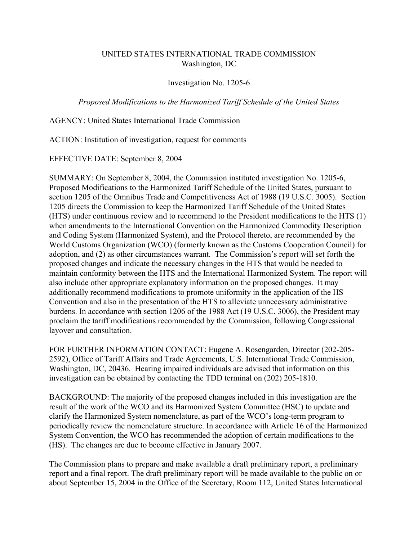## UNITED STATES INTERNATIONAL TRADE COMMISSION Washington, DC

## Investigation No. 1205-6

*Proposed Modifications to the Harmonized Tariff Schedule of the United States*

AGENCY: United States International Trade Commission

ACTION: Institution of investigation, request for comments

EFFECTIVE DATE: September 8, 2004

SUMMARY: On September 8, 2004, the Commission instituted investigation No. 1205-6, Proposed Modifications to the Harmonized Tariff Schedule of the United States, pursuant to section 1205 of the Omnibus Trade and Competitiveness Act of 1988 (19 U.S.C. 3005). Section 1205 directs the Commission to keep the Harmonized Tariff Schedule of the United States (HTS) under continuous review and to recommend to the President modifications to the HTS (1) when amendments to the International Convention on the Harmonized Commodity Description and Coding System (Harmonized System), and the Protocol thereto, are recommended by the World Customs Organization (WCO) (formerly known as the Customs Cooperation Council) for adoption, and (2) as other circumstances warrant. The Commission's report will set forth the proposed changes and indicate the necessary changes in the HTS that would be needed to maintain conformity between the HTS and the International Harmonized System. The report will also include other appropriate explanatory information on the proposed changes. It may additionally recommend modifications to promote uniformity in the application of the HS Convention and also in the presentation of the HTS to alleviate unnecessary administrative burdens. In accordance with section 1206 of the 1988 Act (19 U.S.C. 3006), the President may proclaim the tariff modifications recommended by the Commission, following Congressional layover and consultation.

FOR FURTHER INFORMATION CONTACT: Eugene A. Rosengarden, Director (202-205- 2592), Office of Tariff Affairs and Trade Agreements, U.S. International Trade Commission, Washington, DC, 20436. Hearing impaired individuals are advised that information on this investigation can be obtained by contacting the TDD terminal on (202) 205-1810.

BACKGROUND: The majority of the proposed changes included in this investigation are the result of the work of the WCO and its Harmonized System Committee (HSC) to update and clarify the Harmonized System nomenclature, as part of the WCO's long-term program to periodically review the nomenclature structure. In accordance with Article 16 of the Harmonized System Convention, the WCO has recommended the adoption of certain modifications to the (HS). The changes are due to become effective in January 2007.

The Commission plans to prepare and make available a draft preliminary report, a preliminary report and a final report. The draft preliminary report will be made available to the public on or about September 15, 2004 in the Office of the Secretary, Room 112, United States International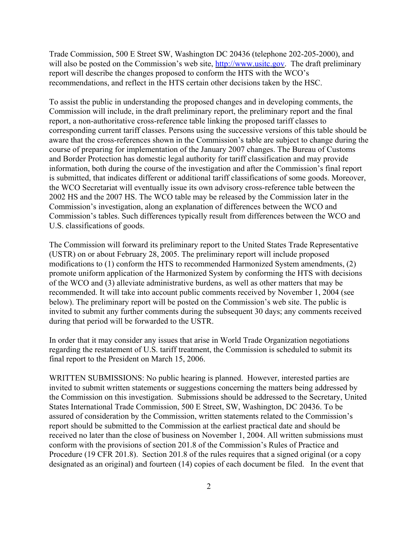Trade Commission, 500 E Street SW, Washington DC 20436 (telephone 202-205-2000), and will also be posted on the Commission's web site, http://www.usitc.gov. The draft preliminary report will describe the changes proposed to conform the HTS with the WCO's recommendations, and reflect in the HTS certain other decisions taken by the HSC.

To assist the public in understanding the proposed changes and in developing comments, the Commission will include, in the draft preliminary report, the preliminary report and the final report, a non-authoritative cross-reference table linking the proposed tariff classes to corresponding current tariff classes. Persons using the successive versions of this table should be aware that the cross-references shown in the Commission's table are subject to change during the course of preparing for implementation of the January 2007 changes. The Bureau of Customs and Border Protection has domestic legal authority for tariff classification and may provide information, both during the course of the investigation and after the Commission's final report is submitted, that indicates different or additional tariff classifications of some goods. Moreover, the WCO Secretariat will eventually issue its own advisory cross-reference table between the 2002 HS and the 2007 HS. The WCO table may be released by the Commission later in the Commission's investigation, along an explanation of differences between the WCO and Commission's tables. Such differences typically result from differences between the WCO and U.S. classifications of goods.

The Commission will forward its preliminary report to the United States Trade Representative (USTR) on or about February 28, 2005. The preliminary report will include proposed modifications to (1) conform the HTS to recommended Harmonized System amendments, (2) promote uniform application of the Harmonized System by conforming the HTS with decisions of the WCO and (3) alleviate administrative burdens, as well as other matters that may be recommended. It will take into account public comments received by November 1, 2004 (see below). The preliminary report will be posted on the Commission's web site. The public is invited to submit any further comments during the subsequent 30 days; any comments received during that period will be forwarded to the USTR.

In order that it may consider any issues that arise in World Trade Organization negotiations regarding the restatement of U.S. tariff treatment, the Commission is scheduled to submit its final report to the President on March 15, 2006.

WRITTEN SUBMISSIONS: No public hearing is planned. However, interested parties are invited to submit written statements or suggestions concerning the matters being addressed by the Commission on this investigation. Submissions should be addressed to the Secretary, United States International Trade Commission, 500 E Street, SW, Washington, DC 20436. To be assured of consideration by the Commission, written statements related to the Commission's report should be submitted to the Commission at the earliest practical date and should be received no later than the close of business on November 1, 2004. All written submissions must conform with the provisions of section 201.8 of the Commission's Rules of Practice and Procedure (19 CFR 201.8). Section 201.8 of the rules requires that a signed original (or a copy designated as an original) and fourteen (14) copies of each document be filed. In the event that